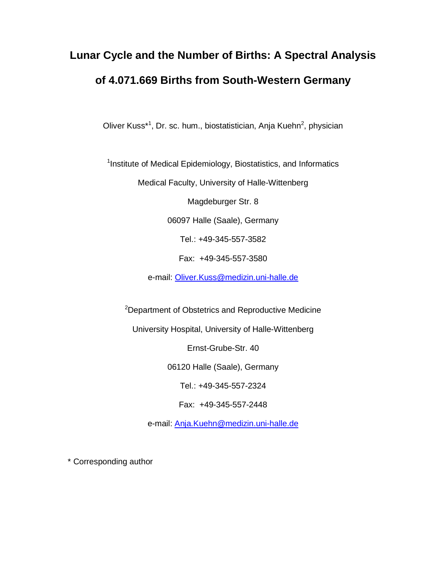# **Lunar Cycle and the Number of Births: A Spectral Analysis of 4.071.669 Births from South-Western Germany**

Oliver Kuss<sup>\*1</sup>, Dr. sc. hum., biostatistician, Anja Kuehn<sup>2</sup>, physician

<sup>1</sup>Institute of Medical Epidemiology, Biostatistics, and Informatics

Medical Faculty, University of Halle-Wittenberg

Magdeburger Str. 8

06097 Halle (Saale), Germany

Tel.: +49-345-557-3582

Fax: +49-345-557-3580

e-mail: Oliver.Kuss@medizin.uni-halle.de

<sup>2</sup>Department of Obstetrics and Reproductive Medicine

University Hospital, University of Halle-Wittenberg

Ernst-Grube-Str. 40

06120 Halle (Saale), Germany

Tel.: +49-345-557-2324

Fax: +49-345-557-2448

e-mail: Anja.Kuehn@medizin.uni-halle.de

\* Corresponding author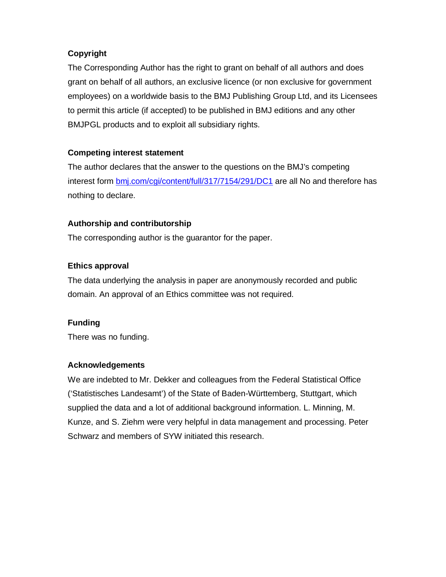## **Copyright**

The Corresponding Author has the right to grant on behalf of all authors and does grant on behalf of all authors, an exclusive licence (or non exclusive for government employees) on a worldwide basis to the BMJ Publishing Group Ltd, and its Licensees to permit this article (if accepted) to be published in BMJ editions and any other BMJPGL products and to exploit all subsidiary rights.

# **Competing interest statement**

The author declares that the answer to the questions on the BMJ's competing interest form bmj.com/cgi/content/full/317/7154/291/DC1 are all No and therefore has nothing to declare.

# **Authorship and contributorship**

The corresponding author is the guarantor for the paper.

# **Ethics approval**

The data underlying the analysis in paper are anonymously recorded and public domain. An approval of an Ethics committee was not required.

# **Funding**

There was no funding.

## **Acknowledgements**

We are indebted to Mr. Dekker and colleagues from the Federal Statistical Office ('Statistisches Landesamt') of the State of Baden-Württemberg, Stuttgart, which supplied the data and a lot of additional background information. L. Minning, M. Kunze, and S. Ziehm were very helpful in data management and processing. Peter Schwarz and members of SYW initiated this research.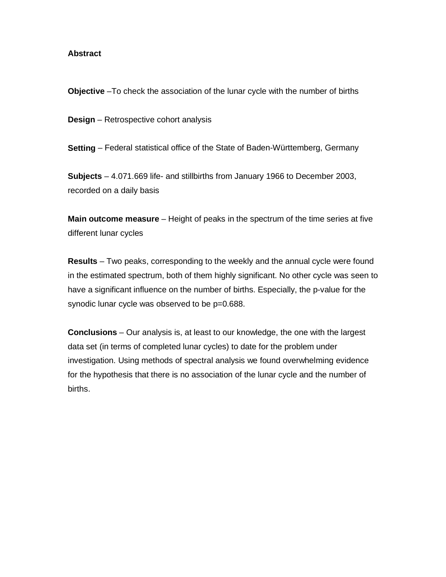#### **Abstract**

**Objective** –To check the association of the lunar cycle with the number of births

**Design** – Retrospective cohort analysis

**Setting** – Federal statistical office of the State of Baden-Württemberg, Germany

**Subjects** – 4.071.669 life- and stillbirths from January 1966 to December 2003, recorded on a daily basis

**Main outcome measure** – Height of peaks in the spectrum of the time series at five different lunar cycles

**Results** – Two peaks, corresponding to the weekly and the annual cycle were found in the estimated spectrum, both of them highly significant. No other cycle was seen to have a significant influence on the number of births. Especially, the p-value for the synodic lunar cycle was observed to be  $p=0.688$ .

**Conclusions** – Our analysis is, at least to our knowledge, the one with the largest data set (in terms of completed lunar cycles) to date for the problem under investigation. Using methods of spectral analysis we found overwhelming evidence for the hypothesis that there is no association of the lunar cycle and the number of births.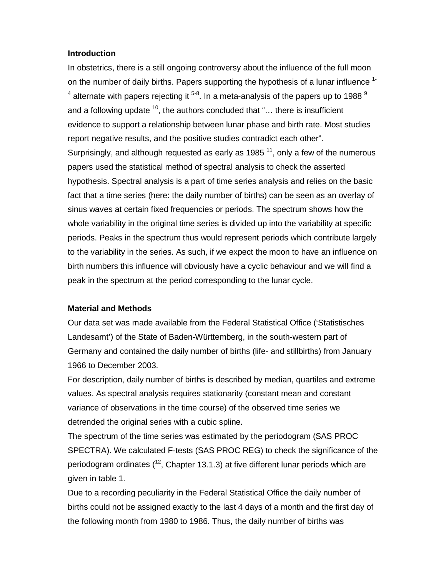#### **Introduction**

In obstetrics, there is a still ongoing controversy about the influence of the full moon on the number of daily births. Papers supporting the hypothesis of a lunar influence <sup>1-</sup>  $^4$  alternate with papers rejecting it  $^{5\text{-}8}$ . In a meta-analysis of the papers up to 1988  $^9$ and a following update  $10$ , the authors concluded that "... there is insufficient evidence to support a relationship between lunar phase and birth rate. Most studies report negative results, and the positive studies contradict each other". Surprisingly, and although requested as early as 1985<sup>11</sup>, only a few of the numerous papers used the statistical method of spectral analysis to check the asserted hypothesis. Spectral analysis is a part of time series analysis and relies on the basic fact that a time series (here: the daily number of births) can be seen as an overlay of sinus waves at certain fixed frequencies or periods. The spectrum shows how the whole variability in the original time series is divided up into the variability at specific periods. Peaks in the spectrum thus would represent periods which contribute largely to the variability in the series. As such, if we expect the moon to have an influence on birth numbers this influence will obviously have a cyclic behaviour and we will find a peak in the spectrum at the period corresponding to the lunar cycle.

#### **Material and Methods**

Our data set was made available from the Federal Statistical Office ('Statistisches Landesamt') of the State of Baden-Württemberg, in the south-western part of Germany and contained the daily number of births (life- and stillbirths) from January 1966 to December 2003.

For description, daily number of births is described by median, quartiles and extreme values. As spectral analysis requires stationarity (constant mean and constant variance of observations in the time course) of the observed time series we detrended the original series with a cubic spline.

The spectrum of the time series was estimated by the periodogram (SAS PROC SPECTRA). We calculated F-tests (SAS PROC REG) to check the significance of the periodogram ordinates  $(1^2, \text{Chapter 13.1.3})$  at five different lunar periods which are given in table 1.

Due to a recording peculiarity in the Federal Statistical Office the daily number of births could not be assigned exactly to the last 4 days of a month and the first day of the following month from 1980 to 1986. Thus, the daily number of births was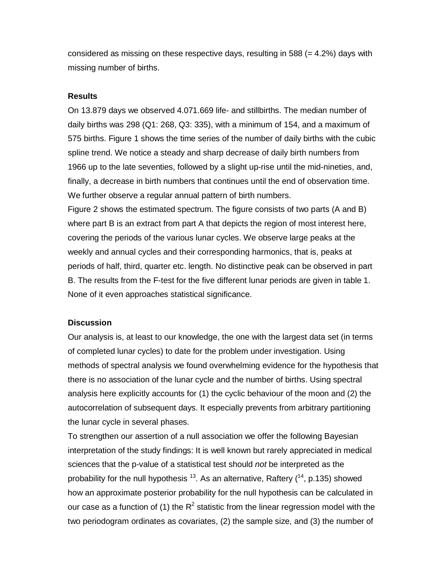considered as missing on these respective days, resulting in 588  $(= 4.2\%)$  days with missing number of births.

### **Results**

On 13.879 days we observed 4.071.669 life- and stillbirths. The median number of daily births was 298 (Q1: 268, Q3: 335), with a minimum of 154, and a maximum of 575 births. Figure 1 shows the time series of the number of daily births with the cubic spline trend. We notice a steady and sharp decrease of daily birth numbers from 1966 up to the late seventies, followed by a slight up-rise until the mid-nineties, and, finally, a decrease in birth numbers that continues until the end of observation time. We further observe a regular annual pattern of birth numbers.

Figure 2 shows the estimated spectrum. The figure consists of two parts (A and B) where part B is an extract from part A that depicts the region of most interest here, covering the periods of the various lunar cycles. We observe large peaks at the weekly and annual cycles and their corresponding harmonics, that is, peaks at periods of half, third, quarter etc. length. No distinctive peak can be observed in part B. The results from the F-test for the five different lunar periods are given in table 1. None of it even approaches statistical significance.

#### **Discussion**

Our analysis is, at least to our knowledge, the one with the largest data set (in terms of completed lunar cycles) to date for the problem under investigation. Using methods of spectral analysis we found overwhelming evidence for the hypothesis that there is no association of the lunar cycle and the number of births. Using spectral analysis here explicitly accounts for (1) the cyclic behaviour of the moon and (2) the autocorrelation of subsequent days. It especially prevents from arbitrary partitioning the lunar cycle in several phases.

To strengthen our assertion of a null association we offer the following Bayesian interpretation of the study findings: It is well known but rarely appreciated in medical sciences that the p-value of a statistical test should *not* be interpreted as the probability for the null hypothesis  $^{13}$ . As an alternative, Raftery  $(^{14}$ , p.135) showed how an approximate posterior probability for the null hypothesis can be calculated in our case as a function of (1) the  $R^2$  statistic from the linear regression model with the two periodogram ordinates as covariates, (2) the sample size, and (3) the number of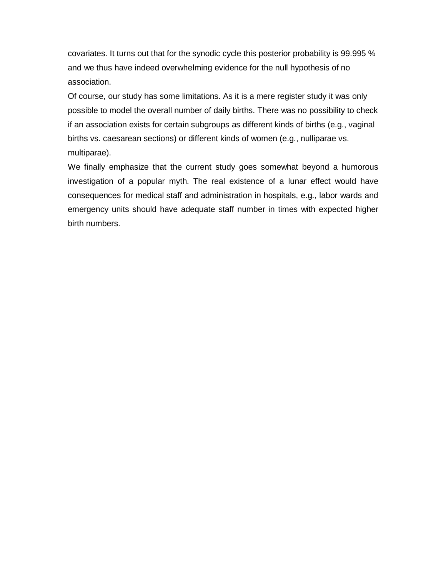covariates. It turns out that for the synodic cycle this posterior probability is 99.995 % and we thus have indeed overwhelming evidence for the null hypothesis of no association.

Of course, our study has some limitations. As it is a mere register study it was only possible to model the overall number of daily births. There was no possibility to check if an association exists for certain subgroups as different kinds of births (e.g., vaginal births vs. caesarean sections) or different kinds of women (e.g., nulliparae vs. multiparae).

We finally emphasize that the current study goes somewhat beyond a humorous investigation of a popular myth. The real existence of a lunar effect would have consequences for medical staff and administration in hospitals, e.g., labor wards and emergency units should have adequate staff number in times with expected higher birth numbers.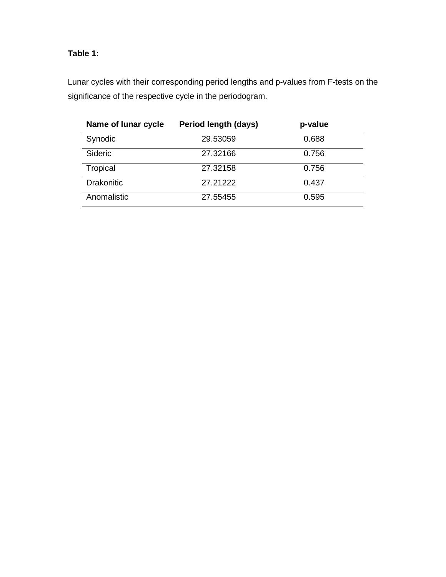# **Table 1:**

Lunar cycles with their corresponding period lengths and p-values from F-tests on the significance of the respective cycle in the periodogram.

| Name of lunar cycle | Period length (days) | p-value |
|---------------------|----------------------|---------|
| Synodic             | 29.53059             | 0.688   |
| <b>Sideric</b>      | 27.32166             | 0.756   |
| Tropical            | 27.32158             | 0.756   |
| <b>Drakonitic</b>   | 27.21222             | 0.437   |
| Anomalistic         | 27.55455             | 0.595   |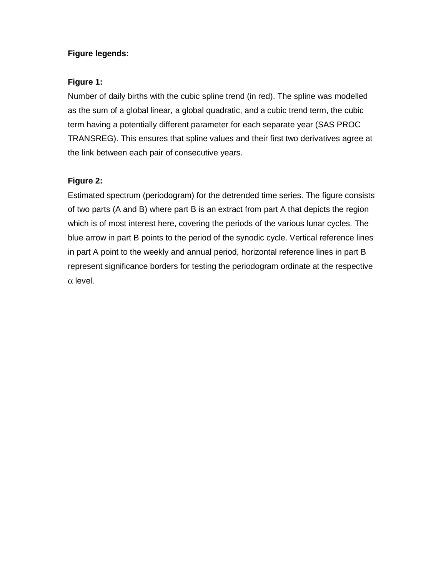## **Figure legends:**

## **Figure 1:**

Number of daily births with the cubic spline trend (in red). The spline was modelled as the sum of a global linear, a global quadratic, and a cubic trend term, the cubic term having a potentially different parameter for each separate year (SAS PROC TRANSREG). This ensures that spline values and their first two derivatives agree at the link between each pair of consecutive years.

# **Figure 2:**

Estimated spectrum (periodogram) for the detrended time series. The figure consists of two parts (A and B) where part B is an extract from part A that depicts the region which is of most interest here, covering the periods of the various lunar cycles. The blue arrow in part B points to the period of the synodic cycle. Vertical reference lines in part A point to the weekly and annual period, horizontal reference lines in part B represent significance borders for testing the periodogram ordinate at the respective α level.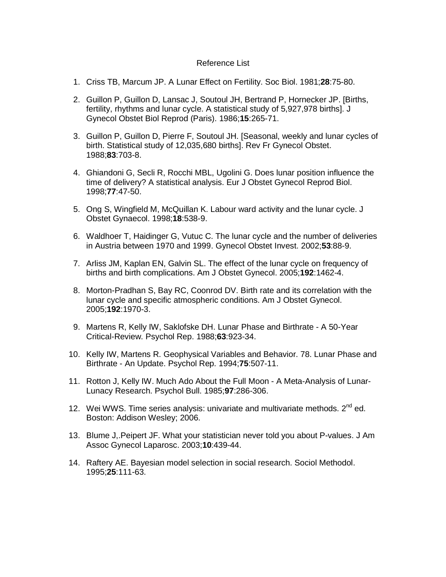#### Reference List

- 1. Criss TB, Marcum JP. A Lunar Effect on Fertility. Soc Biol. 1981;**28**:75-80.
- 2. Guillon P, Guillon D, Lansac J, Soutoul JH, Bertrand P, Hornecker JP. [Births, fertility, rhythms and lunar cycle. A statistical study of 5,927,978 births]. J Gynecol Obstet Biol Reprod (Paris). 1986;**15**:265-71.
- 3. Guillon P, Guillon D, Pierre F, Soutoul JH. [Seasonal, weekly and lunar cycles of birth. Statistical study of 12,035,680 births]. Rev Fr Gynecol Obstet. 1988;**83**:703-8.
- 4. Ghiandoni G, Secli R, Rocchi MBL, Ugolini G. Does lunar position influence the time of delivery? A statistical analysis. Eur J Obstet Gynecol Reprod Biol. 1998;**77**:47-50.
- 5. Ong S, Wingfield M, McQuillan K. Labour ward activity and the lunar cycle. J Obstet Gynaecol. 1998;**18**:538-9.
- 6. Waldhoer T, Haidinger G, Vutuc C. The lunar cycle and the number of deliveries in Austria between 1970 and 1999. Gynecol Obstet Invest. 2002;**53**:88-9.
- 7. Arliss JM, Kaplan EN, Galvin SL. The effect of the lunar cycle on frequency of births and birth complications. Am J Obstet Gynecol. 2005;**192**:1462-4.
- 8. Morton-Pradhan S, Bay RC, Coonrod DV. Birth rate and its correlation with the lunar cycle and specific atmospheric conditions. Am J Obstet Gynecol. 2005;**192**:1970-3.
- 9. Martens R, Kelly IW, Saklofske DH. Lunar Phase and Birthrate A 50-Year Critical-Review. Psychol Rep. 1988;**63**:923-34.
- 10. Kelly IW, Martens R. Geophysical Variables and Behavior. 78. Lunar Phase and Birthrate - An Update. Psychol Rep. 1994;**75**:507-11.
- 11. Rotton J, Kelly IW. Much Ado About the Full Moon A Meta-Analysis of Lunar-Lunacy Research. Psychol Bull. 1985;**97**:286-306.
- 12. Wei WWS. Time series analysis: univariate and multivariate methods. 2<sup>nd</sup> ed. Boston: Addison Wesley; 2006.
- 13. Blume J,.Peipert JF. What your statistician never told you about P-values. J Am Assoc Gynecol Laparosc. 2003;**10**:439-44.
- 14. Raftery AE. Bayesian model selection in social research. Sociol Methodol. 1995;**25**:111-63.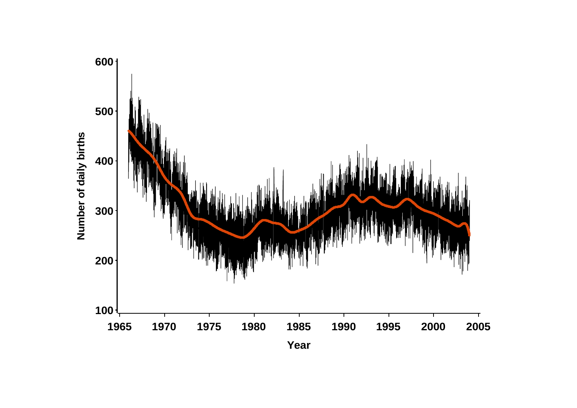